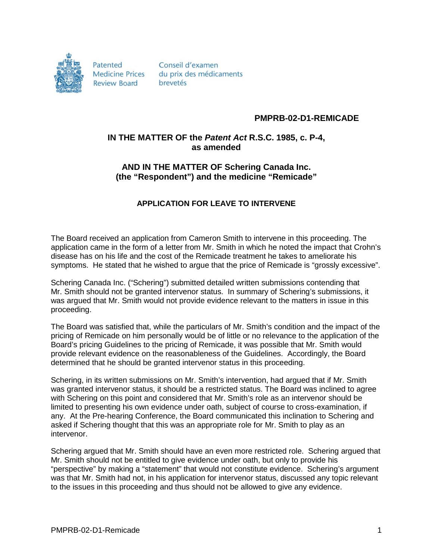

Patented **Medicine Prices Review Board** 

Conseil d'examen du prix des médicaments brevetés

## **PMPRB-02-D1-REMICADE**

## **IN THE MATTER OF the** *Patent Act* **R.S.C. 1985, c. P-4, as amended**

## **AND IN THE MATTER OF Schering Canada Inc. (the "Respondent") and the medicine "Remicade"**

## **APPLICATION FOR LEAVE TO INTERVENE**

The Board received an application from Cameron Smith to intervene in this proceeding. The application came in the form of a letter from Mr. Smith in which he noted the impact that Crohn's disease has on his life and the cost of the Remicade treatment he takes to ameliorate his symptoms. He stated that he wished to argue that the price of Remicade is "grossly excessive".

Schering Canada Inc. ("Schering") submitted detailed written submissions contending that Mr. Smith should not be granted intervenor status. In summary of Schering's submissions, it was argued that Mr. Smith would not provide evidence relevant to the matters in issue in this proceeding.

The Board was satisfied that, while the particulars of Mr. Smith's condition and the impact of the pricing of Remicade on him personally would be of little or no relevance to the application of the Board's pricing Guidelines to the pricing of Remicade, it was possible that Mr. Smith would provide relevant evidence on the reasonableness of the Guidelines. Accordingly, the Board determined that he should be granted intervenor status in this proceeding.

Schering, in its written submissions on Mr. Smith's intervention, had argued that if Mr. Smith was granted intervenor status, it should be a restricted status. The Board was inclined to agree with Schering on this point and considered that Mr. Smith's role as an intervenor should be limited to presenting his own evidence under oath, subject of course to cross-examination, if any. At the Pre-hearing Conference, the Board communicated this inclination to Schering and asked if Schering thought that this was an appropriate role for Mr. Smith to play as an intervenor.

Schering argued that Mr. Smith should have an even more restricted role. Schering argued that Mr. Smith should not be entitled to give evidence under oath, but only to provide his "perspective" by making a "statement" that would not constitute evidence. Schering's argument was that Mr. Smith had not, in his application for intervenor status, discussed any topic relevant to the issues in this proceeding and thus should not be allowed to give any evidence.